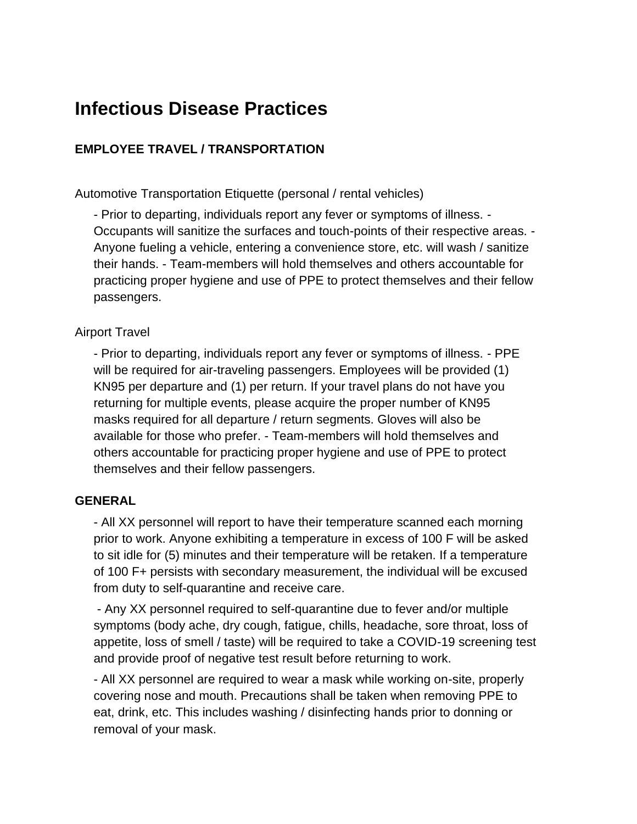# **Infectious Disease Practices**

## **EMPLOYEE TRAVEL / TRANSPORTATION**

Automotive Transportation Etiquette (personal / rental vehicles)

- Prior to departing, individuals report any fever or symptoms of illness. - Occupants will sanitize the surfaces and touch-points of their respective areas. - Anyone fueling a vehicle, entering a convenience store, etc. will wash / sanitize their hands. - Team-members will hold themselves and others accountable for practicing proper hygiene and use of PPE to protect themselves and their fellow passengers.

#### Airport Travel

- Prior to departing, individuals report any fever or symptoms of illness. - PPE will be required for air-traveling passengers. Employees will be provided (1) KN95 per departure and (1) per return. If your travel plans do not have you returning for multiple events, please acquire the proper number of KN95 masks required for all departure / return segments. Gloves will also be available for those who prefer. - Team-members will hold themselves and others accountable for practicing proper hygiene and use of PPE to protect themselves and their fellow passengers.

#### **GENERAL**

- All XX personnel will report to have their temperature scanned each morning prior to work. Anyone exhibiting a temperature in excess of 100 F will be asked to sit idle for (5) minutes and their temperature will be retaken. If a temperature of 100 F+ persists with secondary measurement, the individual will be excused from duty to self-quarantine and receive care.

- Any XX personnel required to self-quarantine due to fever and/or multiple symptoms (body ache, dry cough, fatigue, chills, headache, sore throat, loss of appetite, loss of smell / taste) will be required to take a COVID-19 screening test and provide proof of negative test result before returning to work.

- All XX personnel are required to wear a mask while working on-site, properly covering nose and mouth. Precautions shall be taken when removing PPE to eat, drink, etc. This includes washing / disinfecting hands prior to donning or removal of your mask.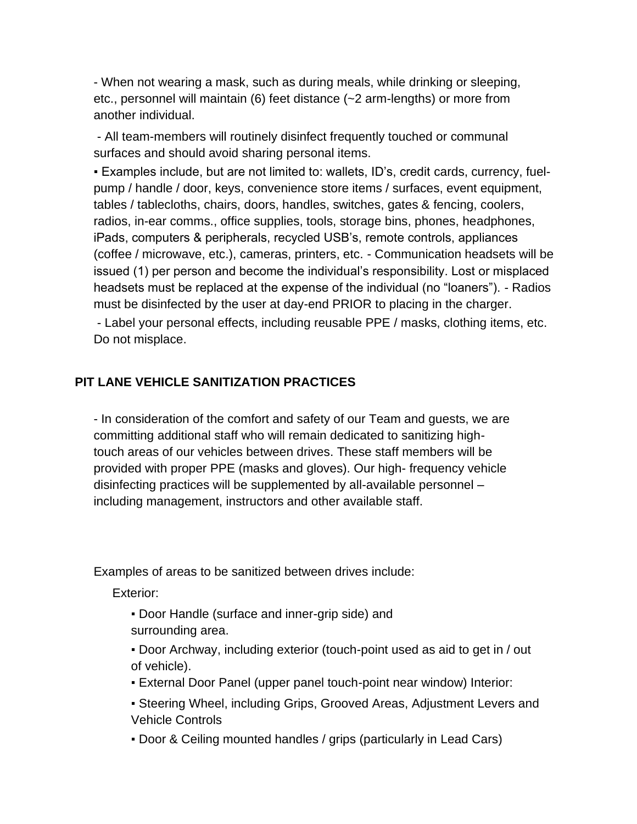- When not wearing a mask, such as during meals, while drinking or sleeping, etc., personnel will maintain (6) feet distance (~2 arm-lengths) or more from another individual.

- All team-members will routinely disinfect frequently touched or communal surfaces and should avoid sharing personal items.

▪ Examples include, but are not limited to: wallets, ID's, credit cards, currency, fuelpump / handle / door, keys, convenience store items / surfaces, event equipment, tables / tablecloths, chairs, doors, handles, switches, gates & fencing, coolers, radios, in-ear comms., office supplies, tools, storage bins, phones, headphones, iPads, computers & peripherals, recycled USB's, remote controls, appliances (coffee / microwave, etc.), cameras, printers, etc. - Communication headsets will be issued (1) per person and become the individual's responsibility. Lost or misplaced headsets must be replaced at the expense of the individual (no "loaners"). - Radios must be disinfected by the user at day-end PRIOR to placing in the charger.

- Label your personal effects, including reusable PPE / masks, clothing items, etc. Do not misplace.

#### **PIT LANE VEHICLE SANITIZATION PRACTICES**

- In consideration of the comfort and safety of our Team and guests, we are committing additional staff who will remain dedicated to sanitizing hightouch areas of our vehicles between drives. These staff members will be provided with proper PPE (masks and gloves). Our high- frequency vehicle disinfecting practices will be supplemented by all-available personnel – including management, instructors and other available staff.

Examples of areas to be sanitized between drives include:

Exterior:

- Door Handle (surface and inner-grip side) and surrounding area.
- Door Archway, including exterior (touch-point used as aid to get in / out of vehicle).
- External Door Panel (upper panel touch-point near window) Interior:
- **Steering Wheel, including Grips, Grooved Areas, Adjustment Levers and** Vehicle Controls
- Door & Ceiling mounted handles / grips (particularly in Lead Cars)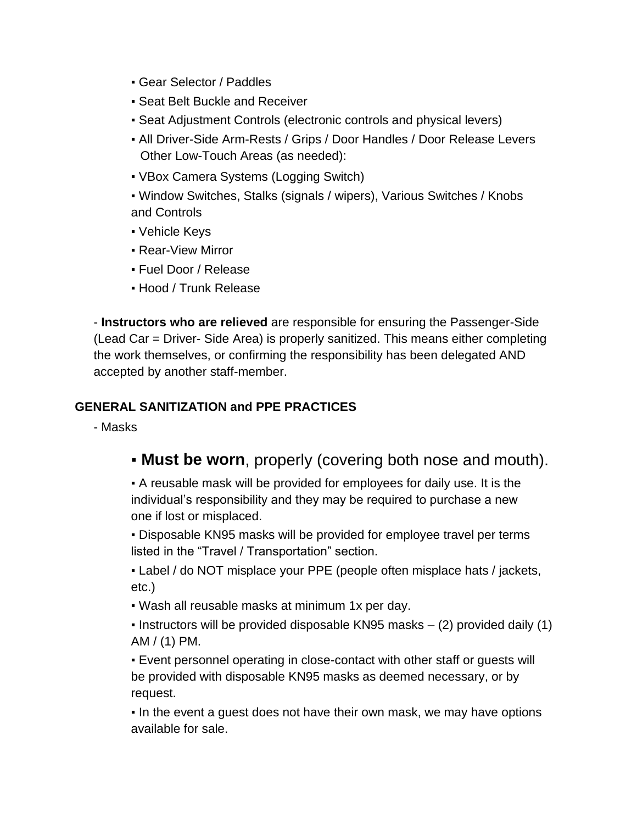- Gear Selector / Paddles
- **Seat Belt Buckle and Receiver**
- Seat Adjustment Controls (electronic controls and physical levers)
- All Driver-Side Arm-Rests / Grips / Door Handles / Door Release Levers Other Low-Touch Areas (as needed):
- VBox Camera Systems (Logging Switch)
- Window Switches, Stalks (signals / wipers), Various Switches / Knobs and Controls
- Vehicle Keys
- **Rear-View Mirror**
- Fuel Door / Release
- Hood / Trunk Release

- **Instructors who are relieved** are responsible for ensuring the Passenger-Side (Lead Car = Driver- Side Area) is properly sanitized. This means either completing the work themselves, or confirming the responsibility has been delegated AND accepted by another staff-member.

## **GENERAL SANITIZATION and PPE PRACTICES**

- Masks

▪ **Must be worn**, properly (covering both nose and mouth).

▪ A reusable mask will be provided for employees for daily use. It is the individual's responsibility and they may be required to purchase a new one if lost or misplaced.

▪ Disposable KN95 masks will be provided for employee travel per terms listed in the "Travel / Transportation" section.

• Label / do NOT misplace your PPE (people often misplace hats / jackets, etc.)

▪ Wash all reusable masks at minimum 1x per day.

**.** Instructors will be provided disposable KN95 masks  $-$  (2) provided daily (1) AM / (1) PM.

▪ Event personnel operating in close-contact with other staff or guests will be provided with disposable KN95 masks as deemed necessary, or by request.

. In the event a guest does not have their own mask, we may have options available for sale.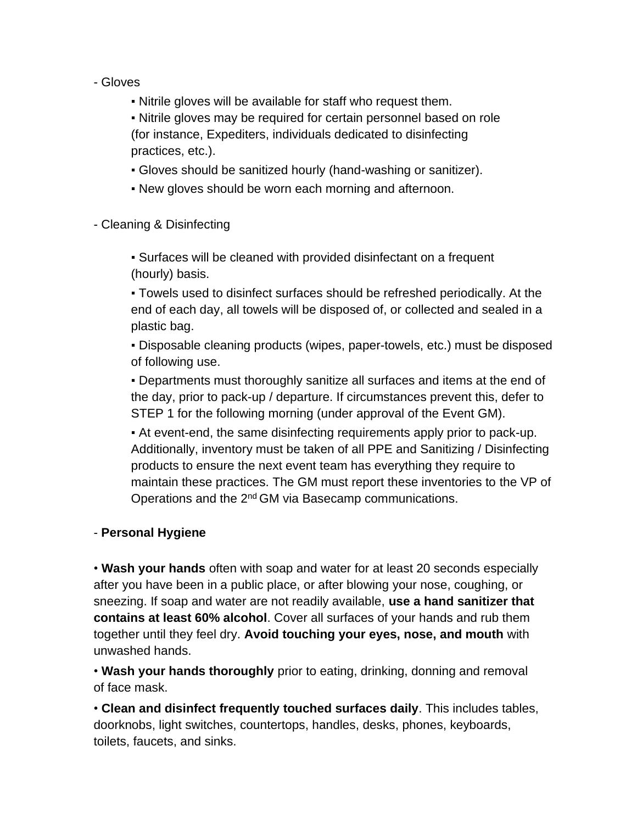- Gloves
	- Nitrile gloves will be available for staff who request them.

• Nitrile gloves may be required for certain personnel based on role (for instance, Expediters, individuals dedicated to disinfecting practices, etc.).

- Gloves should be sanitized hourly (hand-washing or sanitizer).
- New gloves should be worn each morning and afternoon.
- Cleaning & Disinfecting

▪ Surfaces will be cleaned with provided disinfectant on a frequent (hourly) basis.

▪ Towels used to disinfect surfaces should be refreshed periodically. At the end of each day, all towels will be disposed of, or collected and sealed in a plastic bag.

▪ Disposable cleaning products (wipes, paper-towels, etc.) must be disposed of following use.

▪ Departments must thoroughly sanitize all surfaces and items at the end of the day, prior to pack-up / departure. If circumstances prevent this, defer to STEP 1 for the following morning (under approval of the Event GM).

▪ At event-end, the same disinfecting requirements apply prior to pack-up. Additionally, inventory must be taken of all PPE and Sanitizing / Disinfecting products to ensure the next event team has everything they require to maintain these practices. The GM must report these inventories to the VP of Operations and the 2nd GM via Basecamp communications.

# - **Personal Hygiene**

• **Wash your hands** often with soap and water for at least 20 seconds especially after you have been in a public place, or after blowing your nose, coughing, or sneezing. If soap and water are not readily available, **use a hand sanitizer that contains at least 60% alcohol**. Cover all surfaces of your hands and rub them together until they feel dry. **Avoid touching your eyes, nose, and mouth** with unwashed hands.

• **Wash your hands thoroughly** prior to eating, drinking, donning and removal of face mask.

• **Clean and disinfect frequently touched surfaces daily**. This includes tables, doorknobs, light switches, countertops, handles, desks, phones, keyboards, toilets, faucets, and sinks.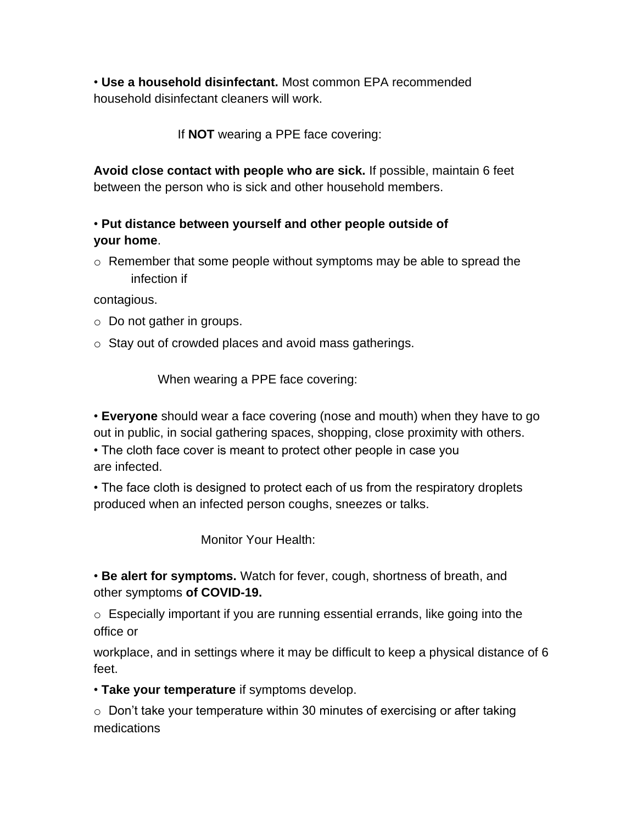• **Use a household disinfectant.** Most common EPA recommended household disinfectant cleaners will work.

If **NOT** wearing a PPE face covering:

**Avoid close contact with people who are sick.** If possible, maintain 6 feet between the person who is sick and other household members.

# • **Put distance between yourself and other people outside of your home**.

 $\circ$  Remember that some people without symptoms may be able to spread the infection if

contagious.

- o Do not gather in groups.
- o Stay out of crowded places and avoid mass gatherings.

When wearing a PPE face covering:

• **Everyone** should wear a face covering (nose and mouth) when they have to go out in public, in social gathering spaces, shopping, close proximity with others.

• The cloth face cover is meant to protect other people in case you are infected.

• The face cloth is designed to protect each of us from the respiratory droplets produced when an infected person coughs, sneezes or talks.

Monitor Your Health:

• **Be alert for symptoms.** Watch for fever, cough, shortness of breath, and other symptoms **of COVID-19.** 

o Especially important if you are running essential errands, like going into the office or

workplace, and in settings where it may be difficult to keep a physical distance of 6 feet.

• **Take your temperature** if symptoms develop.

 $\circ$  Don't take your temperature within 30 minutes of exercising or after taking medications